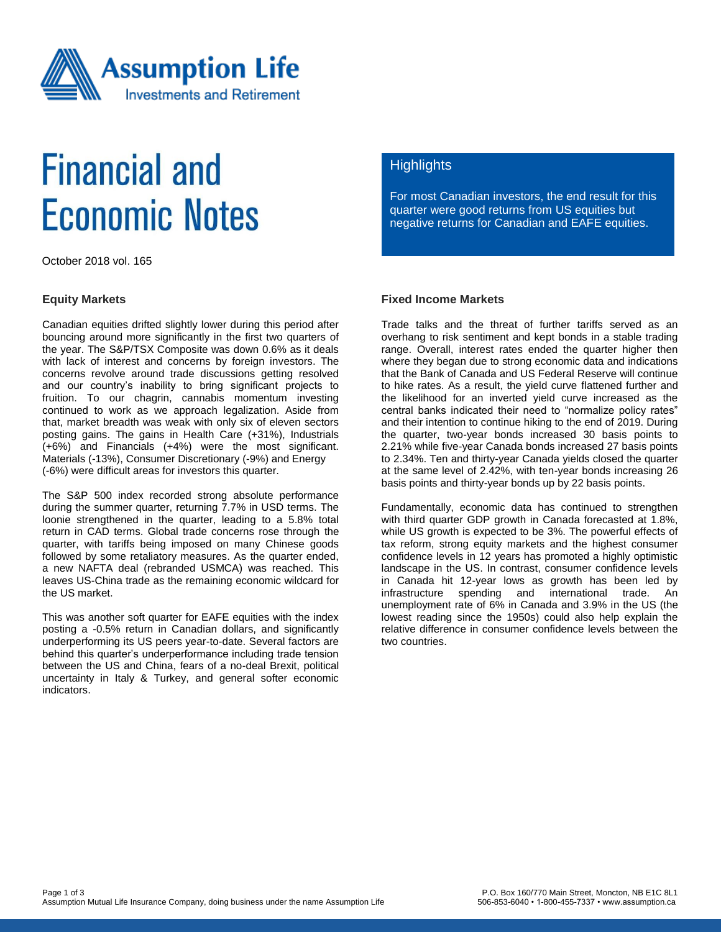

# **Financial and Economic Notes**

October 2018 vol. 165

### **Equity Markets**

Canadian equities drifted slightly lower during this period after bouncing around more significantly in the first two quarters of the year. The S&P/TSX Composite was down 0.6% as it deals with lack of interest and concerns by foreign investors. The concerns revolve around trade discussions getting resolved and our country's inability to bring significant projects to fruition. To our chagrin, cannabis momentum investing continued to work as we approach legalization. Aside from that, market breadth was weak with only six of eleven sectors posting gains. The gains in Health Care (+31%), Industrials (+6%) and Financials (+4%) were the most significant. Materials (-13%), Consumer Discretionary (-9%) and Energy (-6%) were difficult areas for investors this quarter.

The S&P 500 index recorded strong absolute performance during the summer quarter, returning 7.7% in USD terms. The loonie strengthened in the quarter, leading to a 5.8% total return in CAD terms. Global trade concerns rose through the quarter, with tariffs being imposed on many Chinese goods followed by some retaliatory measures. As the quarter ended, a new NAFTA deal (rebranded USMCA) was reached. This leaves US-China trade as the remaining economic wildcard for the US market.

This was another soft quarter for EAFE equities with the index posting a -0.5% return in Canadian dollars, and significantly underperforming its US peers year-to-date. Several factors are behind this quarter's underperformance including trade tension between the US and China, fears of a no-deal Brexit, political uncertainty in Italy & Turkey, and general softer economic indicators.

# **Highlights**

For most Canadian investors, the end result for this quarter were good returns from US equities but negative returns for Canadian and EAFE equities.

### **Fixed Income Markets**

Trade talks and the threat of further tariffs served as an overhang to risk sentiment and kept bonds in a stable trading range. Overall, interest rates ended the quarter higher then where they began due to strong economic data and indications that the Bank of Canada and US Federal Reserve will continue to hike rates. As a result, the yield curve flattened further and the likelihood for an inverted yield curve increased as the central banks indicated their need to "normalize policy rates" and their intention to continue hiking to the end of 2019. During the quarter, two-year bonds increased 30 basis points to 2.21% while five-year Canada bonds increased 27 basis points to 2.34%. Ten and thirty-year Canada yields closed the quarter at the same level of 2.42%, with ten-year bonds increasing 26 basis points and thirty-year bonds up by 22 basis points.

Fundamentally, economic data has continued to strengthen with third quarter GDP growth in Canada forecasted at 1.8%, while US growth is expected to be 3%. The powerful effects of tax reform, strong equity markets and the highest consumer confidence levels in 12 years has promoted a highly optimistic landscape in the US. In contrast, consumer confidence levels in Canada hit 12-year lows as growth has been led by infrastructure spending and international trade. An unemployment rate of 6% in Canada and 3.9% in the US (the lowest reading since the 1950s) could also help explain the relative difference in consumer confidence levels between the two countries.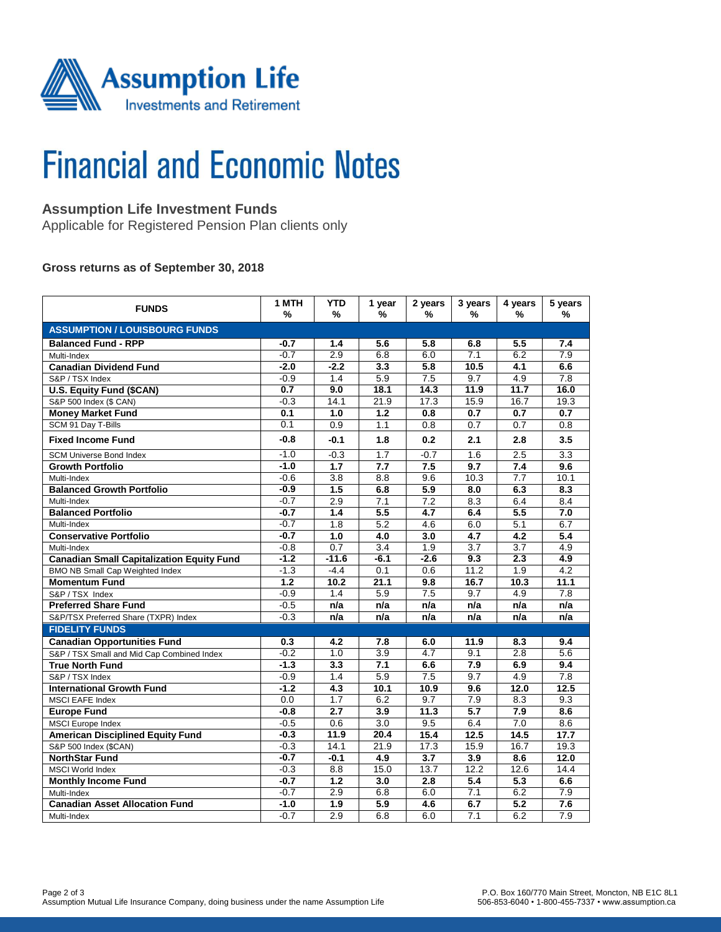

# **Financial and Economic Notes**

# **Assumption Life Investment Funds**

Applicable for Registered Pension Plan clients only

### **Gross returns as of September 30, 2018**

| <b>FUNDS</b>                                     | 1 MTH<br>%       | <b>YTD</b><br>%  | 1 year<br>%      | 2 years<br>%     | 3 years<br>%     | 4 years<br>%     | 5 years<br>%     |  |  |  |  |
|--------------------------------------------------|------------------|------------------|------------------|------------------|------------------|------------------|------------------|--|--|--|--|
| <b>ASSUMPTION / LOUISBOURG FUNDS</b>             |                  |                  |                  |                  |                  |                  |                  |  |  |  |  |
| <b>Balanced Fund - RPP</b>                       | -0.7             | 1.4              | 5.6              | 5.8              | 6.8              | 5.5              | 7.4              |  |  |  |  |
| Multi-Index                                      | $-0.7$           | 2.9              | 6.8              | 6.0              | 7.1              | 6.2              | $\overline{7.9}$ |  |  |  |  |
| <b>Canadian Dividend Fund</b>                    | $-2.0$           | $-2.2$           | 3.3              | 5.8              | 10.5             | 4.1              | 6.6              |  |  |  |  |
| S&P / TSX Index                                  | $-0.9$           | 1.4              | 5.9              | 7.5              | 9.7              | 4.9              | 7.8              |  |  |  |  |
| <b>U.S. Equity Fund (\$CAN)</b>                  | 0.7              | 9.0              | 18.1             | 14.3             | 11.9             | 11.7             | 16.0             |  |  |  |  |
| S&P 500 Index (\$ CAN)                           | $-0.3$           | 14.1             | 21.9             | 17.3             | 15.9             | 16.7             | 19.3             |  |  |  |  |
| <b>Money Market Fund</b>                         | 0.1              | 1.0              | 1.2              | 0.8              | 0.7              | 0.7              | 0.7              |  |  |  |  |
| SCM 91 Day T-Bills                               | 0.1              | 0.9              | 1.1              | 0.8              | 0.7              | 0.7              | 0.8              |  |  |  |  |
| <b>Fixed Income Fund</b>                         | $-0.8$           | $-0.1$           | 1.8              | 0.2              | 2.1              | 2.8              | 3.5              |  |  |  |  |
| <b>SCM Universe Bond Index</b>                   | $-1.0$           | $-0.3$           | 1.7              | $-0.7$           | 1.6              | 2.5              | 3.3              |  |  |  |  |
| <b>Growth Portfolio</b>                          | $-1.0$           | $\overline{1.7}$ | $\overline{7.7}$ | 7.5              | $\overline{9.7}$ | 7.4              | 9.6              |  |  |  |  |
| Multi-Index                                      | $-0.6$           | 3.8              | 8.8              | 9.6              | 10.3             | $\overline{7.7}$ | 10.1             |  |  |  |  |
| <b>Balanced Growth Portfolio</b>                 | $-0.9$           | $\overline{1.5}$ | 6.8              | $\overline{5.9}$ | 8.0              | 6.3              | $\overline{8.3}$ |  |  |  |  |
| Multi-Index                                      | $-0.7$           | 2.9              | 7.1              | 7.2              | 8.3              | 6.4              | 8.4              |  |  |  |  |
| <b>Balanced Portfolio</b>                        | $-0.7$           | 1.4              | 5.5              | 4.7              | 6.4              | 5.5              | 7.0              |  |  |  |  |
| Multi-Index                                      | $-0.7$           | 1.8              | 5.2              | 4.6              | 6.0              | $\overline{5.1}$ | 6.7              |  |  |  |  |
| <b>Conservative Portfolio</b>                    | $-0.7$           | $\overline{1.0}$ | 4.0              | 3.0              | 4.7              | 4.2              | 5.4              |  |  |  |  |
| Multi-Index                                      | $-0.8$           | 0.7              | 3.4              | 1.9              | 3.7              | 3.7              | 4.9              |  |  |  |  |
| <b>Canadian Small Capitalization Equity Fund</b> | $-1.2$           | $-11.6$          | $-6.1$           | $-2.6$           | 9.3              | $\overline{2.3}$ | 4.9              |  |  |  |  |
| <b>BMO NB Small Cap Weighted Index</b>           | $-1.3$           | $-4.4$           | 0.1              | 0.6              | 11.2             | 1.9              | 4.2              |  |  |  |  |
| <b>Momentum Fund</b>                             | $\overline{1.2}$ | 10.2             | 21.1             | 9.8              | 16.7             | 10.3             | 11.1             |  |  |  |  |
| S&P / TSX Index                                  | $-0.9$           | 1.4              | 5.9              | $\overline{7.5}$ | 9.7              | 4.9              | $\overline{7.8}$ |  |  |  |  |
| <b>Preferred Share Fund</b>                      | $-0.5$           | n/a              | n/a              | n/a              | n/a              | n/a              | n/a              |  |  |  |  |
| S&P/TSX Preferred Share (TXPR) Index             | $-0.3$           | n/a              | n/a              | n/a              | n/a              | n/a              | n/a              |  |  |  |  |
| <b>FIDELITY FUNDS</b>                            |                  |                  |                  |                  |                  |                  |                  |  |  |  |  |
| <b>Canadian Opportunities Fund</b>               | 0.3              | 4.2              | 7.8              | 6.0              | 11.9             | 8.3              | 9.4              |  |  |  |  |
| S&P / TSX Small and Mid Cap Combined Index       | $-0.2$           | 1.0              | 3.9              | 4.7              | 9.1              | 2.8              | 5.6              |  |  |  |  |
| <b>True North Fund</b>                           | $-1.3$           | $\overline{3.3}$ | 7.1              | 6.6              | 7.9              | 6.9              | 9.4              |  |  |  |  |
| S&P / TSX Index                                  | $-0.9$           | 1.4              | 5.9              | $\overline{7.5}$ | 9.7              | 4.9              | $\overline{7.8}$ |  |  |  |  |
| <b>International Growth Fund</b>                 | $-1.2$           | 4.3              | 10.1             | 10.9             | 9.6              | 12.0             | 12.5             |  |  |  |  |
| <b>MSCI EAFE Index</b>                           | 0.0              | 1.7              | 6.2              | 9.7              | 7.9              | 8.3              | 9.3              |  |  |  |  |
| <b>Europe Fund</b>                               | $-0.8$           | $\overline{2.7}$ | 3.9              | 11.3             | $\overline{5.7}$ | 7.9              | $\overline{8.6}$ |  |  |  |  |
| MSCI Europe Index                                | $-0.5$           | 0.6              | 3.0              | 9.5              | 6.4              | 7.0              | 8.6              |  |  |  |  |
| <b>American Disciplined Equity Fund</b>          | $-0.3$           | 11.9             | 20.4             | 15.4             | 12.5             | 14.5             | 17.7             |  |  |  |  |
| S&P 500 Index (\$CAN)                            | $-0.3$           | 14.1             | 21.9             | 17.3             | 15.9             | 16.7             | 19.3             |  |  |  |  |
| <b>NorthStar Fund</b>                            | $-0.7$           | $-0.1$           | 4.9              | $\overline{3.7}$ | $\overline{3.9}$ | 8.6              | 12.0             |  |  |  |  |
| <b>MSCI World Index</b>                          | $-0.3$           | 8.8              | 15.0             | 13.7             | 12.2             | 12.6             | 14.4             |  |  |  |  |
| <b>Monthly Income Fund</b>                       | $-0.7$           | 1.2              | 3.0              | $\overline{2.8}$ | 5.4              | $\overline{5.3}$ | 6.6              |  |  |  |  |
| Multi-Index                                      | $-0.7$           | 2.9              | 6.8              | 6.0              | 7.1              | 6.2              | 7.9              |  |  |  |  |
| <b>Canadian Asset Allocation Fund</b>            | $-1.0$           | $\overline{1.9}$ | 5.9              | 4.6              | 6.7              | 5.2              | 7.6              |  |  |  |  |
| Multi-Index                                      | $-0.7$           | 2.9              | 6.8              | 6.0              | 7.1              | 6.2              | 7.9              |  |  |  |  |